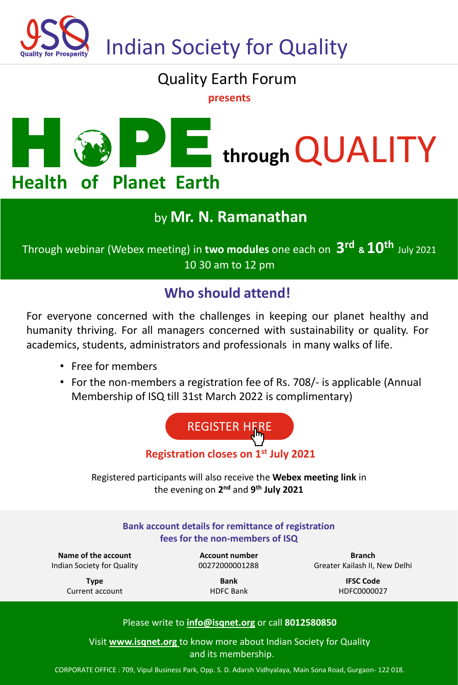

## Quality Earth Forum

**presents**



### by **Mr. N. Ramanathan**

Through webinar (Webex meeting) in **two modules** one each on **3 rd & 10th** July 2021 10 30 am to 12 pm

### **Who should attend!**

For everyone concerned with the challenges in keeping our planet healthy and humanity thriving. For all managers concerned with sustainability or quality. For academics, students, administrators and professionals in many walks of life.

- Free for members
- For the non-members a registration fee of Rs. 708/- is applicable (Annual Membership of ISQ till 31st March 2022 is complimentary)



Registered participants will also receive the **Webex meeting link** in the evening on **2 nd** and **9 th July 2021**

| Bank account details for remittance of registration<br>fees for the non-members of ISQ |                  |                               |
|----------------------------------------------------------------------------------------|------------------|-------------------------------|
| Name of the account                                                                    | Account number   | <b>Branch</b>                 |
| Indian Society for Quality                                                             | 00272000001288   | Greater Kailash II, New Delhi |
| <b>Type</b>                                                                            | <b>Bank</b>      | <b>IFSC Code</b>              |
| Current account                                                                        | <b>HDFC Bank</b> | HDFC0000027                   |
| Please write to info@isqnet.org or call 8012580850                                     |                  |                               |

Visit **www.isqnet.org** to know more about Indian Society for Quality and its membership.

CORPORATE OFFICE : 709, Vipul Business Park, Opp. S. D. Adarsh Vidhyalaya, Main Sona Road, Gurgaon- 122 018.